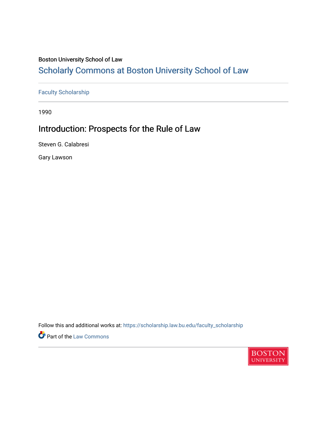### Boston University School of Law

# [Scholarly Commons at Boston University School of Law](https://scholarship.law.bu.edu/)

[Faculty Scholarship](https://scholarship.law.bu.edu/faculty_scholarship)

1990

# Introduction: Prospects for the Rule of Law

Steven G. Calabresi

Gary Lawson

Follow this and additional works at: [https://scholarship.law.bu.edu/faculty\\_scholarship](https://scholarship.law.bu.edu/faculty_scholarship?utm_source=scholarship.law.bu.edu%2Ffaculty_scholarship%2F2685&utm_medium=PDF&utm_campaign=PDFCoverPages)

**Part of the [Law Commons](https://network.bepress.com/hgg/discipline/578?utm_source=scholarship.law.bu.edu%2Ffaculty_scholarship%2F2685&utm_medium=PDF&utm_campaign=PDFCoverPages)** 

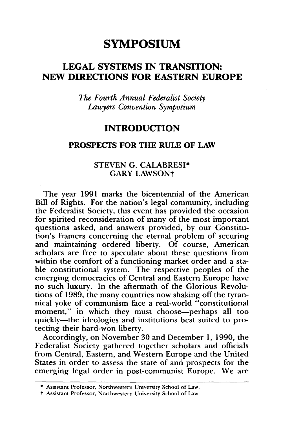## **SYMPOSIUM**

## **LEGAL SYSTEMS IN TRANSITION: NEW DIRECTIONS FOR EASTERN EUROPE**

*The Fourth Annual Federalist Society Lawyers Convention Symposium*

### **INTRODUCTION**

#### **PROSPECTS FOR THE RULE OF LAW**

#### **STEVEN G.** CALABRESI\* GARY LAWSONt

The year **1991** marks the bicentennial of the American Bill of Rights. For the nation's legal community, including the Federalist Society, this event has provided the occasion for spirited reconsideration of many of the most important questions asked, and answers provided, **by** our Constitution's framers concerning the eternal problem of securing and maintaining ordered liberty. **Of** course, American scholars are free to speculate about these questions from within the comfort of a functioning market order and a stable constitutional system. The respective peoples of the emerging democracies of Central and Eastern Europe have no such luxury. In the aftermath of the Glorious Revolutions of **1989,** the many countries now shaking off the tyrannical yoke of communism face a real-world "constitutional moment," in which they must choose-perhaps all too quickly-the ideologies and institutions best suited to protecting their hard-won liberty.

Accordingly, on November **30** and December **1, 1990,** the Federalist Society gathered together scholars and officials from Central, Eastern, and Western Europe and the United States in order to assess the state of and prospects for the emerging legal order in post-communist Europe. We are

<sup>\*</sup> Assistant Professor, Northwestern University School of Law.

t Assistant Professor, Northwestern University School of Law.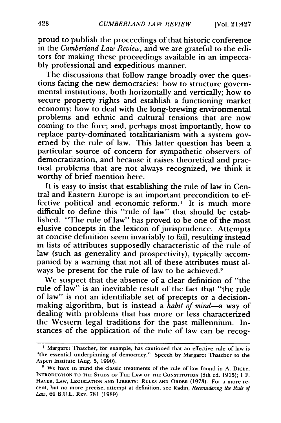proud to publish the proceedings of that historic conference in the *Cumberland Law Review,* and we are grateful to the editors for making these proceedings available in an impeccably professional and expeditious manner.

The discussions that follow range broadly over the questions facing the new democracies: how to structure governmental institutions, both horizontally and vertically; how to secure property rights and establish a functioning market economy; how to deal with the long-brewing environmental problems and ethnic and cultural tensions that are now coming to the fore; and, perhaps most importantly, how to replace party-dominated totalitarianism with a system governed by the rule of law. This latter question has been a particular source of concern for sympathetic observers of democratization, and because it raises theoretical and practical problems that are not always recognized, we think it worthy of brief mention here.

It is easy to insist that establishing the rule of law in Central and Eastern Europe is an important precondition to effective political and economic reform.' It is much more difficult to define this "rule of law" that should be established. "The rule of law" has proved to be one of the most elusive concepts in the lexicon of jurisprudence. Attempts at concise definition seem invariably to fail, resulting instead in lists of attributes supposedly characteristic of the rule of law (such as generality and prospectivity), typically accompanied by a warning that not all of these attributes must always be present for the rule of law to be achieved.2

We suspect that the absence of a clear definition of "the rule of law" is an inevitable result of the fact that "the rule of law" is not an identifiable set of precepts or a decisionmaking algorithm, but is instead a *habit of mind-a* way of dealing with problems that has more or less characterized the Western legal traditions for the past millennium. Instances of the application of the rule of law can be recog-

**<sup>I</sup>**Margaret Thatcher, for example, has cautioned that an effective rule of law is "the essential underpinning of democracy." Speech by Margaret Thatcher to the Aspen Institute (Aug. 5, 1990).

<sup>&</sup>lt;sup>2</sup> We have in mind the classic treatments of the rule of law found in A. DICEY, **INTRODUCTION TO THE STUDY OF THE LAW OF THE CONSTITUTION** (8th ed. **1915); 1** F. HAYEK, LAW, LEGISLATION AND LIBERTY: RULES AND ORDER (1973). For a more recent, but no more precise, attempt at definition, see Radin, *Reconsidering the Rule of Law,* 69 **B.U.L.** REV. 781 (1989).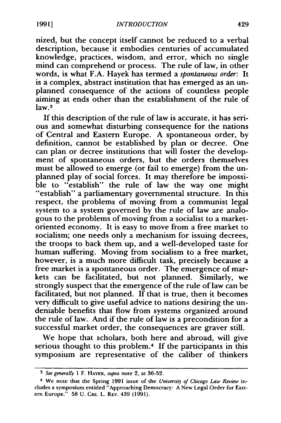nized, but the concept itself cannot be reduced to a verbal description, because it embodies centuries of accumulated knowledge, practices, wisdom, and error, which no single mind can comprehend or process. The rule of law, in other words, is what F.A. Hayek has termed a *spontaneous order:* It is a complex, abstract institution that has emerged as an unplanned consequence of the actions of countless people aiming at ends other than the establishment of the rule of law<sup>3</sup>

If this description of the rule of law is accurate, it has serious and somewhat disturbing consequence for the nations of Central and Eastern Europe. A spontaneous order, by definition, cannot be established by plan or decree. One can plan or decree institutions that will foster the development of spontaneous orders, but the orders themselves must be allowed to emerge (or fail to emerge) from the unplanned play of social forces. It may therefore be impossible to "establish" the rule of law the way one might "establish" a parliamentary governmental structure. In this respect, the problems of moving from a communist legal system to a system governed by the rule of law are analogous to the problems of moving from a socialist to a marketoriented economy. It is easy to move from a free market to socialism; one needs only a mechanism for issuing decrees, the troops to back them up, and a well-developed taste for human suffering. Moving from socialism to a free market, however, is a much more difficult task, precisely because a free market is a spontaneous order. The emergence of markets can be facilitated, but not planned. Similarly, we strongly suspect that the emergence of the rule of law can be facilitated, but not planned. If that is true, then it becomes very difficult to give useful advice to nations desiring the undeniable benefits that flow from systems organized around the rule of law. And if the rule of law is a precondition for a successful market order, the consequences are graver still.

We hope that scholars, both here and abroad, will give serious thought to this problem.<sup>4</sup> If the participants in this symposium are representative of the caliber of thinkers

*<sup>3</sup> See generally* 1 F. **HAYEK,** *supra* note 2, at 36-52.

<sup>4</sup> We note that the Spring 1991 issue of the *University of Chicago Law Review* includes a symposium entitled "Approaching Democracy: A New Legal Order for Eastern Europe." 58 U. **CHI.** L. REV. 439 (1991).